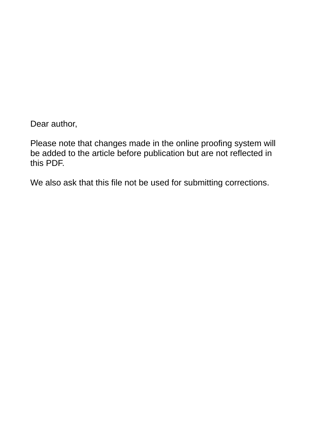Dear author,

Please note that changes made in the online proofing system will be added to the article before publication but are not reflected in this PDF.

We also ask that this file not be used for submitting corrections.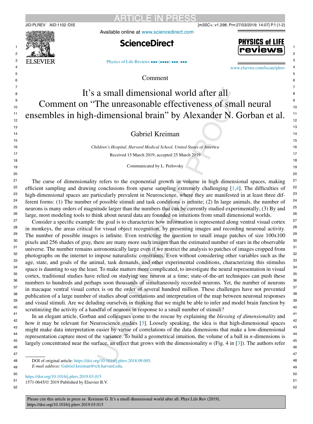

Available online at [www.sciencedirect.com](http://www.sciencedirect.com)

**ARTICLE IN PRES** 





[Physics of Life Reviews](https://doi.org/10.1016/j.plrev.2019.03.015) ••• (••••) •••-•••

[www.elsevier.com/locate/plrev](http://www.elsevier.com/locate/plrev)

Comment

## It's a small dimensional world after all Comment on "The unreasonable effectiveness of small neural ensembles in high-dimensional brain" by Alexander N. Gorban et al.

## Gabriel Kreiman

*Children's Hospital, Harvard Medical School, United States of America* Received 15 March 2019; accepted 25 March 2019

Communicated by L. Perlovsky

 The curse of dimensionality refers to the exponential growth in volume in high dimensional spaces, making efficient sampling and drawing conclusions from sparse sampling extremely challenging [\[1,4\]](#page-2-0). The difficulties of high-dimensional spaces are particularly prevalent in Neuroscience, where they are manifested in at least three different forms: (1) The number of possible stimuli and task conditions is infinite; (2) In large animals, the number of neurons is many orders of magnitude larger than the numbers that can be currently studied experimentally; (3) By and large, most modeling tools to think about neural data are founded on intuitions from small dimensional worlds.

 Consider a specific example: the goal is to characterize how information is represented along ventral visual cortex in monkeys, the areas critical for visual object recognition, by presenting images and recording neuronal activity. The number of possible images is infinite. Even restricting the question to small image patches of size  $100x100$ pixels and 256 shades of gray, there are many more such images than the estimated number of stars in the observable universe. The number remains astronomically large even if we restrict the analysis to patches of images cropped from photographs on the internet to impose naturalistic constraints. Even without considering other variables such as the age, state, and goals of the animal, task demands, and other experimental conditions, characterizing this stimulus space is daunting to say the least. To make matters more complicated, to investigate the neural representation in visual cortex, traditional studies have relied on studying one neuron at a time; state-of-the-art techniques can push these numbers to hundreds and perhaps soon thousands of simultaneously recorded neurons. Yet, the number of neurons in macaque ventral visual cortex is on the order of several hundred million. These challenges have not prevented publication of a large number of studies about correlations and interpretation of the map between neuronal responses and visual stimuli. Are we deluding ourselves in thinking that we might be able to infer and model brain function by scrutinizing the activity of a handful of neurons in response to a small number of stimuli?

In an elegant article, Gorban and colleagues come to the rescue by explaining the *blessing of dimensionality* and how it may be relevant for Neuroscience studies [\[3\]](#page-2-0). Loosely speaking, the idea is that high-dimensional spaces might make data interpretation easier by virtue of correlations of the data dimensions that make a low-dimensional representation capture most of the variance. To build a geometrical intuition, the volume of a ball in *n*-dimensions is largely concentrated near the surface, an effect that grows with the dimensionality *n* (Fig. 4 in [\[3\]](#page-2-0)). The authors refer

DOI of original article: <https://doi.org/10.1016/j.plrev.2018.09.005>.

 *E-mail address:* [Gabriel.kreiman@tch.harvard.edu](mailto:Gabriel.kreiman@tch.harvard.edu).

 <https://doi.org/10.1016/j.plrev.2019.03.015>

 1571-0645/© 2019 Published by Elsevier B.V.